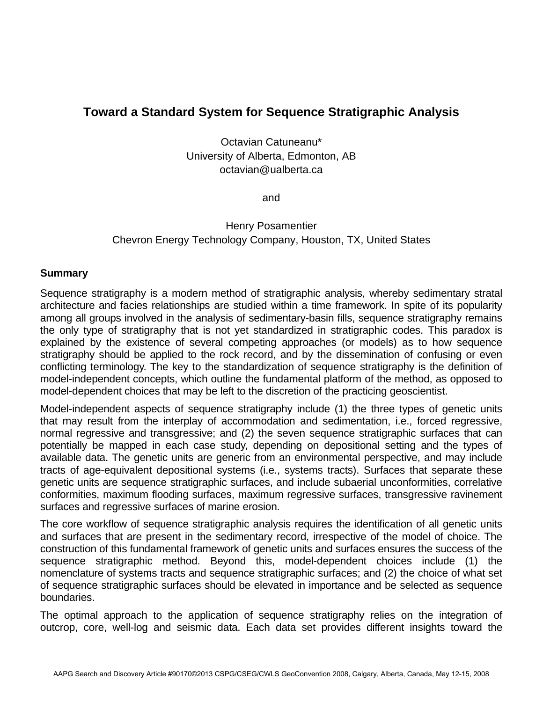## **Toward a Standard System for Sequence Stratigraphic Analysis**

Octavian Catuneanu\* University of Alberta, Edmonton, AB octavian@ualberta.ca

and

## Henry Posamentier Chevron Energy Technology Company, Houston, TX, United States

## **Summary**

Sequence stratigraphy is a modern method of stratigraphic analysis, whereby sedimentary stratal architecture and facies relationships are studied within a time framework. In spite of its popularity among all groups involved in the analysis of sedimentary-basin fills, sequence stratigraphy remains the only type of stratigraphy that is not yet standardized in stratigraphic codes. This paradox is explained by the existence of several competing approaches (or models) as to how sequence stratigraphy should be applied to the rock record, and by the dissemination of confusing or even conflicting terminology. The key to the standardization of sequence stratigraphy is the definition of model-independent concepts, which outline the fundamental platform of the method, as opposed to model-dependent choices that may be left to the discretion of the practicing geoscientist.

Model-independent aspects of sequence stratigraphy include (1) the three types of genetic units that may result from the interplay of accommodation and sedimentation, i.e., forced regressive, normal regressive and transgressive; and (2) the seven sequence stratigraphic surfaces that can potentially be mapped in each case study, depending on depositional setting and the types of available data. The genetic units are generic from an environmental perspective, and may include tracts of age-equivalent depositional systems (i.e., systems tracts). Surfaces that separate these genetic units are sequence stratigraphic surfaces, and include subaerial unconformities, correlative conformities, maximum flooding surfaces, maximum regressive surfaces, transgressive ravinement surfaces and regressive surfaces of marine erosion.

The core workflow of sequence stratigraphic analysis requires the identification of all genetic units and surfaces that are present in the sedimentary record, irrespective of the model of choice. The construction of this fundamental framework of genetic units and surfaces ensures the success of the sequence stratigraphic method. Beyond this, model-dependent choices include (1) the nomenclature of systems tracts and sequence stratigraphic surfaces; and (2) the choice of what set of sequence stratigraphic surfaces should be elevated in importance and be selected as sequence boundaries.

The optimal approach to the application of sequence stratigraphy relies on the integration of outcrop, core, well-log and seismic data. Each data set provides different insights toward the